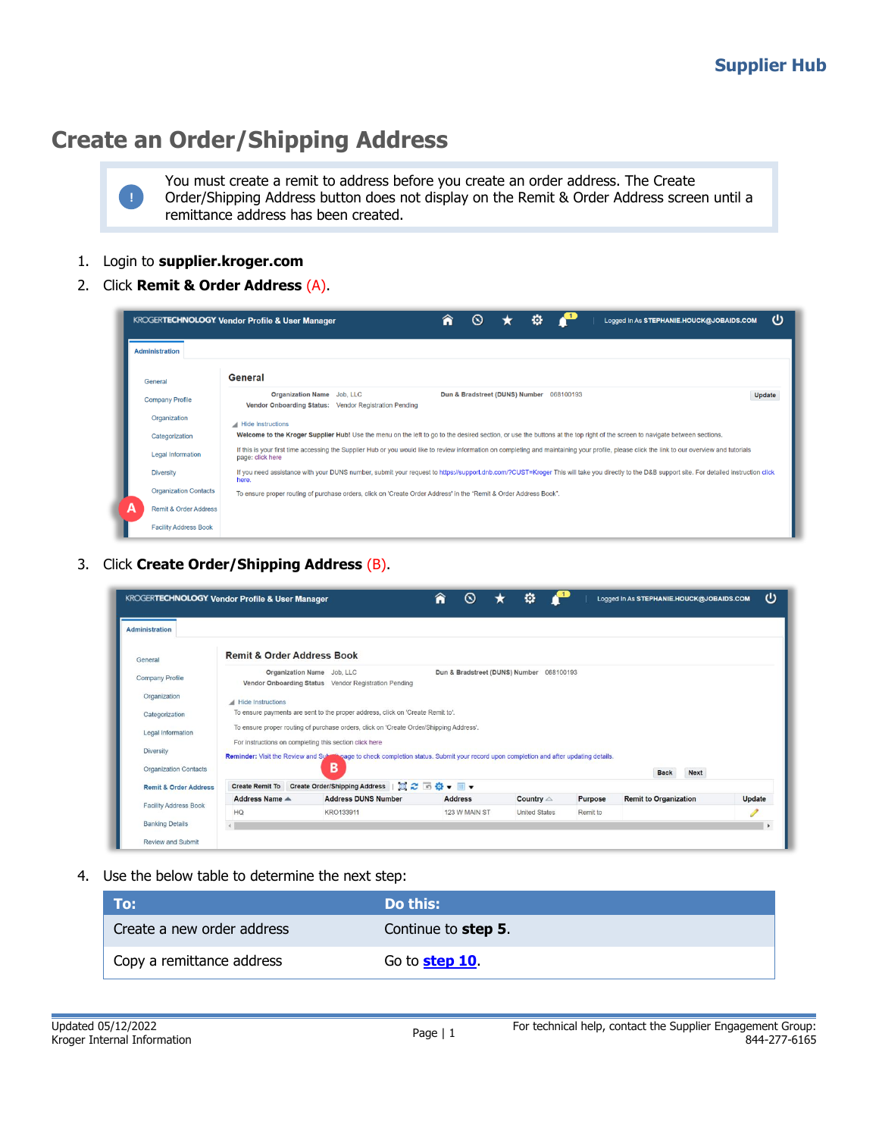## **Create an Order/Shipping Address**

You must create a remit to address before you create an order address. The Create Order/Shipping Address button does not display on the Remit & Order Address screen until a remittance address has been created.

- 1. Login to **supplier.kroger.com**
- 2. Click **Remit & Order Address** (A).

|                                       | o<br>ω<br>Â<br>∾<br><b>KROGERTECHNOLOGY Vendor Profile &amp; User Manager</b><br>Logged In As STEPHANIE.HOUCK@JOBAIDS.COM                                                                                         |
|---------------------------------------|-------------------------------------------------------------------------------------------------------------------------------------------------------------------------------------------------------------------|
| <b>Administration</b>                 |                                                                                                                                                                                                                   |
| General                               | General                                                                                                                                                                                                           |
| <b>Company Profile</b>                | Organization Name Job, LLC<br>Dun & Bradstreet (DUNS) Number 068100193<br><b>Update</b><br>Vendor Onboarding Status: Vendor Registration Pending                                                                  |
| Organization                          | Hide Instructions                                                                                                                                                                                                 |
| Categorization                        | Welcome to the Kroger Supplier Hub! Use the menu on the left to go to the desired section, or use the buttons at the top right of the screen to navigate between sections.                                        |
| <b>Legal Information</b>              | If this is your first time accessing the Supplier Hub or you would like to review information on completing and maintaining your profile, please click the link to our overview and tutorials<br>page: click here |
| <b>Diversity</b>                      | If you need assistance with your DUNS number, submit your request to https://support.dnb.com/?CUST=Kroger This will take you directly to the D&B support site. For detailed instruction click<br>here.            |
| <b>Organization Contacts</b>          | To ensure proper routing of purchase orders, click on 'Create Order Address' in the "Remit & Order Address Book".                                                                                                 |
| А<br><b>Remit &amp; Order Address</b> |                                                                                                                                                                                                                   |
| <b>Facility Address Book</b>          |                                                                                                                                                                                                                   |

3. Click **Create Order/Shipping Address** (B).

|                                  | KROGERTECHNOLOGY Vendor Profile & User Manager |                                                                                                                                           | Â<br>$\circ$                   | o                    |           | Logged In As STEPHANIE.HOUCK@JOBAIDS.COM |               | ധ |
|----------------------------------|------------------------------------------------|-------------------------------------------------------------------------------------------------------------------------------------------|--------------------------------|----------------------|-----------|------------------------------------------|---------------|---|
| Administration                   |                                                |                                                                                                                                           |                                |                      |           |                                          |               |   |
| General                          | <b>Remit &amp; Order Address Book</b>          |                                                                                                                                           |                                |                      |           |                                          |               |   |
| <b>Company Profile</b>           |                                                | Organization Name Job, LLC<br>Vendor Onboarding Status Vendor Registration Pending                                                        | Dun & Bradstreet (DUNS) Number |                      | 068100193 |                                          |               |   |
| Organization                     | Hide Instructions                              |                                                                                                                                           |                                |                      |           |                                          |               |   |
| Categorization                   |                                                | To ensure payments are sent to the proper address, click on 'Create Remit to'.                                                            |                                |                      |           |                                          |               |   |
| Legal Information                |                                                | To ensure proper routing of purchase orders, click on 'Create Order/Shipping Address',                                                    |                                |                      |           |                                          |               |   |
| <b>Diversity</b>                 |                                                | For instructions on completing this section click here                                                                                    |                                |                      |           |                                          |               |   |
| <b>Organization Contacts</b>     |                                                | Reminder: Visit the Review and Submissage to check completion status. Submit your record upon completion and after updating details.<br>В |                                |                      |           |                                          |               |   |
|                                  |                                                |                                                                                                                                           |                                |                      |           | <b>Back</b>                              | <b>Next</b>   |   |
| <b>Remit &amp; Order Address</b> | <b>Create Remit To</b>                         | Create Order/Shipping Address   2 6 2 5 0 +                                                                                               |                                |                      |           |                                          |               |   |
| <b>Facility Address Book</b>     | Address Name $\triangle$                       | <b>Address DUNS Number</b>                                                                                                                | <b>Address</b>                 | Country $\triangle$  | Purpose   | <b>Remit to Organization</b>             | <b>Update</b> |   |
|                                  | HQ                                             | KRO133911                                                                                                                                 | 123 W MAIN ST                  | <b>United States</b> | Remit to  |                                          |               |   |
| <b>Banking Details</b>           |                                                |                                                                                                                                           |                                |                      |           |                                          |               |   |
| <b>Review and Submit</b>         |                                                |                                                                                                                                           |                                |                      |           |                                          |               |   |

4. Use the below table to determine the next step:

| To:                        | Do this:                     |
|----------------------------|------------------------------|
| Create a new order address | Continue to step 5.          |
| Copy a remittance address  | Go to <mark>step 10</mark> . |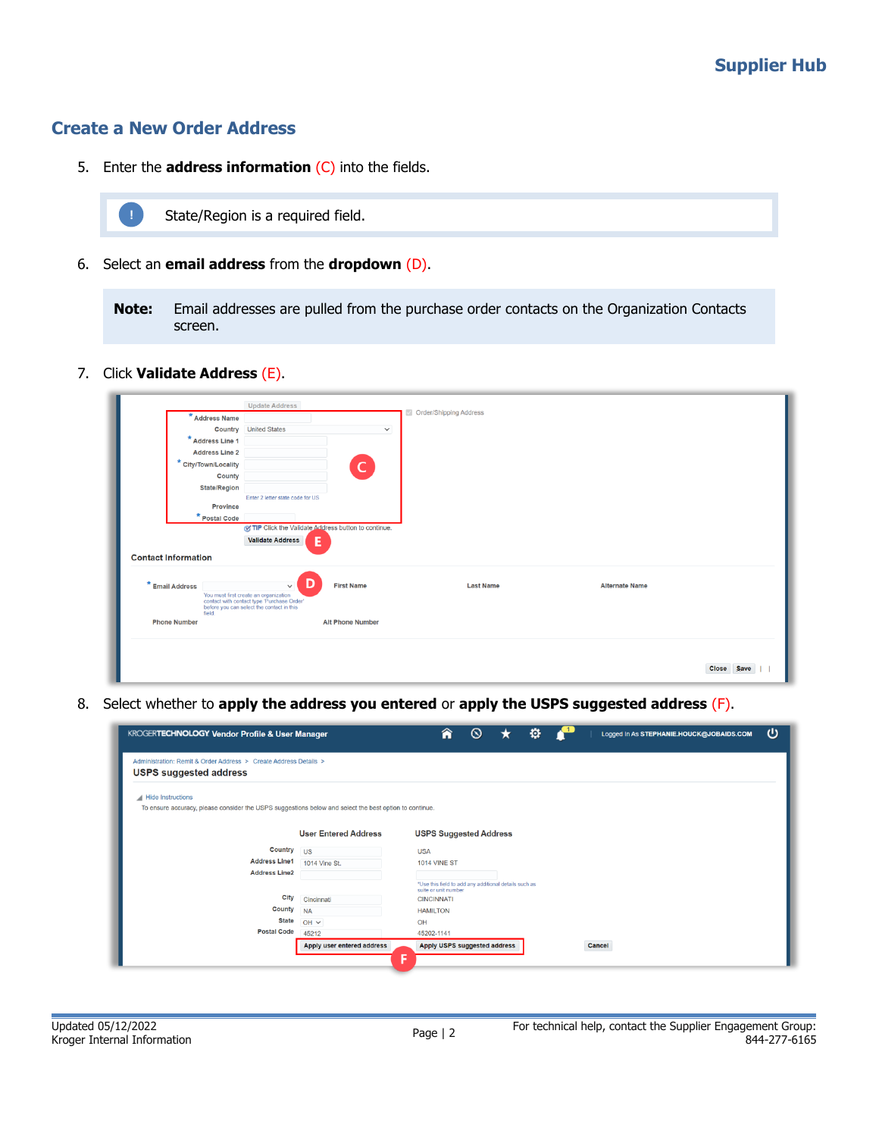## **Create a New Order Address**

5. Enter the **address information** (C) into the fields.



State/Region is a required field.

6. Select an **email address** from the **dropdown** (D).

**Note:** Email addresses are pulled from the purchase order contacts on the Organization Contacts screen.

7. Click **Validate Address** (E).

|                            | <b>Update Address</b>                                                                                                            |                         |                        |                       |  |
|----------------------------|----------------------------------------------------------------------------------------------------------------------------------|-------------------------|------------------------|-----------------------|--|
| Address Name               |                                                                                                                                  |                         | Order/Shipping Address |                       |  |
|                            | <b>Country</b> United States                                                                                                     | $\checkmark$            |                        |                       |  |
| * Address Line 1           |                                                                                                                                  |                         |                        |                       |  |
| <b>Address Line 2</b>      |                                                                                                                                  |                         |                        |                       |  |
| * City/Town/Locality       |                                                                                                                                  | $\mathsf{C}$            |                        |                       |  |
|                            | County                                                                                                                           |                         |                        |                       |  |
| <b>State/Region</b>        |                                                                                                                                  |                         |                        |                       |  |
|                            | Enter 2 letter state code for US<br><b>Province</b>                                                                              |                         |                        |                       |  |
| * Postal Code              |                                                                                                                                  |                         |                        |                       |  |
|                            | of TIP Click the Validate Address button to continue.                                                                            |                         |                        |                       |  |
| <b>Contact Information</b> | <b>Validate Address</b><br>Е                                                                                                     |                         |                        |                       |  |
| * Email Address            | D<br>$\checkmark$                                                                                                                | <b>First Name</b>       | <b>Last Name</b>       | <b>Alternate Name</b> |  |
| field.                     | You must first create an organization<br>contact with contact type 'Purchase Order'<br>before you can select the contact in this |                         |                        |                       |  |
| <b>Phone Number</b>        |                                                                                                                                  | <b>Alt Phone Number</b> |                        |                       |  |
|                            |                                                                                                                                  |                         |                        |                       |  |

8. Select whether to **apply the address you entered** or **apply the USPS suggested address** (F).

| KROGERTECHNOLOGY Vendor Profile & User Manager                                                                              |                                 | Â                                         | $\circledcirc$                                        | o |        | Logged In As STEPHANIE.HOUCK@JOBAIDS.COM | ധ |
|-----------------------------------------------------------------------------------------------------------------------------|---------------------------------|-------------------------------------------|-------------------------------------------------------|---|--------|------------------------------------------|---|
| Administration: Remit & Order Address > Create Address Details ><br><b>USPS suggested address</b>                           |                                 |                                           |                                                       |   |        |                                          |   |
| Hide Instructions<br>To ensure accuracy, please consider the USPS suggestions below and select the best option to continue. | <b>User Entered Address</b>     |                                           | <b>USPS Suggested Address</b>                         |   |        |                                          |   |
| Country<br><b>Address Line1</b>                                                                                             | <b>US</b><br>1014 Vine St.      | <b>USA</b><br><b>1014 VINE ST</b>         |                                                       |   |        |                                          |   |
| <b>Address Line2</b><br>City<br>County                                                                                      | Cincinnati                      | suite or unit number<br><b>CINCINNATI</b> | "Use this field to add any additional details such as |   |        |                                          |   |
| <b>State</b><br><b>Postal Code</b>                                                                                          | <b>NA</b><br>$OH \vee$<br>45212 | <b>HAMILTON</b><br>OH<br>45202-1141       |                                                       |   |        |                                          |   |
|                                                                                                                             | Apply user entered address      | F                                         | Apply USPS suggested address                          |   | Cancel |                                          |   |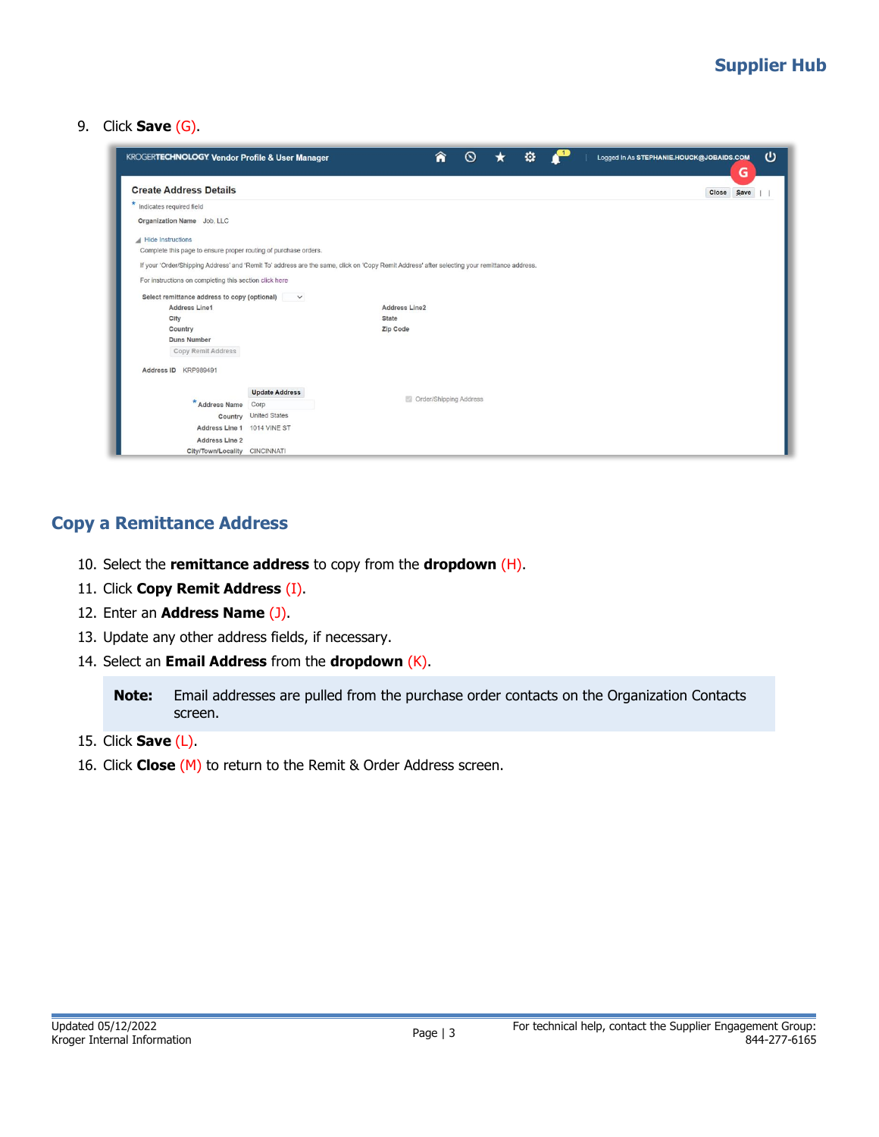9. Click **Save** (G).

| <b>KROGERTECHNOLOGY Vendor Profile &amp; User Manager</b>                                                                                    |                       |               | ⋒ | ര                      | o |  | υ<br>Logged In As STEPHANIE.HOUCK@JOBAIDS.COM<br>G |
|----------------------------------------------------------------------------------------------------------------------------------------------|-----------------------|---------------|---|------------------------|---|--|----------------------------------------------------|
| <b>Create Address Details</b>                                                                                                                |                       |               |   |                        |   |  | Save<br><b>Close</b>                               |
| Indicates required field                                                                                                                     |                       |               |   |                        |   |  |                                                    |
| Organization Name Job, LLC                                                                                                                   |                       |               |   |                        |   |  |                                                    |
| <b>Hide Instructions</b>                                                                                                                     |                       |               |   |                        |   |  |                                                    |
| Complete this page to ensure proper routing of purchase orders.                                                                              |                       |               |   |                        |   |  |                                                    |
| If your 'Order/Shipping Address' and 'Remit To' address are the same, click on 'Copy Remit Address' after selecting your remittance address. |                       |               |   |                        |   |  |                                                    |
| For instructions on completing this section click here                                                                                       |                       |               |   |                        |   |  |                                                    |
|                                                                                                                                              |                       |               |   |                        |   |  |                                                    |
| Select remittance address to copy (optional) v<br>Address Line1                                                                              |                       | Address Line2 |   |                        |   |  |                                                    |
| City                                                                                                                                         |                       | <b>State</b>  |   |                        |   |  |                                                    |
| Country                                                                                                                                      |                       | Zip Code      |   |                        |   |  |                                                    |
| <b>Duns Number</b>                                                                                                                           |                       |               |   |                        |   |  |                                                    |
| Copy Remit Address                                                                                                                           |                       |               |   |                        |   |  |                                                    |
|                                                                                                                                              |                       |               |   |                        |   |  |                                                    |
| Address ID KRP989491                                                                                                                         |                       |               |   |                        |   |  |                                                    |
|                                                                                                                                              | <b>Update Address</b> |               |   |                        |   |  |                                                    |
| * Address Name                                                                                                                               | Corp                  |               |   | Order/Shipping Address |   |  |                                                    |
|                                                                                                                                              | Country United States |               |   |                        |   |  |                                                    |
| Address Line 1 1014 VINE ST                                                                                                                  |                       |               |   |                        |   |  |                                                    |
| <b>Address Line 2</b>                                                                                                                        |                       |               |   |                        |   |  |                                                    |
| City/Town/Locality CINCINNATI                                                                                                                |                       |               |   |                        |   |  |                                                    |

## <span id="page-2-0"></span>**Copy a Remittance Address**

- 10. Select the **remittance address** to copy from the **dropdown** (H).
- 11. Click **Copy Remit Address** (I).
- 12. Enter an **Address Name** (J).
- 13. Update any other address fields, if necessary.
- 14. Select an **Email Address** from the **dropdown** (K).

**Note:** Email addresses are pulled from the purchase order contacts on the Organization Contacts screen.

- 15. Click **Save** (L).
- 16. Click **Close** (M) to return to the Remit & Order Address screen.